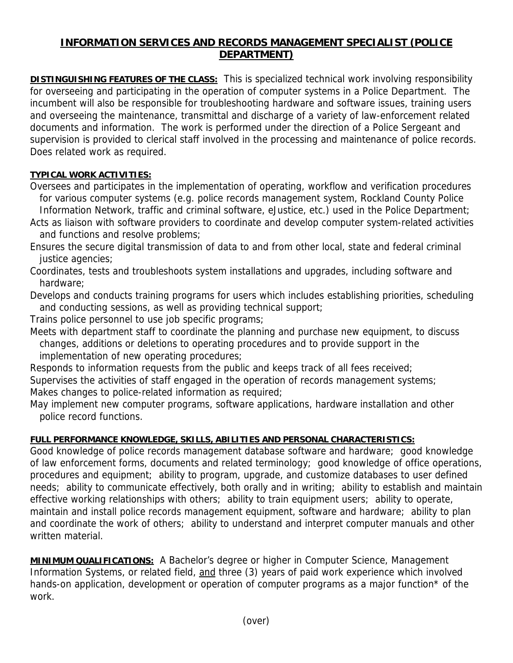## **INFORMATION SERVICES AND RECORDS MANAGEMENT SPECIALIST (POLICE DEPARTMENT)**

**DISTINGUISHING FEATURES OF THE CLASS:** This is specialized technical work involving responsibility for overseeing and participating in the operation of computer systems in a Police Department. The incumbent will also be responsible for troubleshooting hardware and software issues, training users and overseeing the maintenance, transmittal and discharge of a variety of law-enforcement related documents and information. The work is performed under the direction of a Police Sergeant and supervision is provided to clerical staff involved in the processing and maintenance of police records. Does related work as required.

## **TYPICAL WORK ACTIVITIES:**

Oversees and participates in the implementation of operating, workflow and verification procedures for various computer systems (e.g. police records management system, Rockland County Police Information Network, traffic and criminal software, eJustice, etc.) used in the Police Department;

Acts as liaison with software providers to coordinate and develop computer system-related activities and functions and resolve problems;

Ensures the secure digital transmission of data to and from other local, state and federal criminal justice agencies;

Coordinates, tests and troubleshoots system installations and upgrades, including software and hardware;

Develops and conducts training programs for users which includes establishing priorities, scheduling and conducting sessions, as well as providing technical support;

Trains police personnel to use job specific programs;

Meets with department staff to coordinate the planning and purchase new equipment, to discuss changes, additions or deletions to operating procedures and to provide support in the implementation of new operating procedures;

Responds to information requests from the public and keeps track of all fees received; Supervises the activities of staff engaged in the operation of records management systems; Makes changes to police-related information as required;

May implement new computer programs, software applications, hardware installation and other police record functions.

## **FULL PERFORMANCE KNOWLEDGE, SKILLS, ABILITIES AND PERSONAL CHARACTERISTICS:**

Good knowledge of police records management database software and hardware; good knowledge of law enforcement forms, documents and related terminology; good knowledge of office operations, procedures and equipment; ability to program, upgrade, and customize databases to user defined needs; ability to communicate effectively, both orally and in writing; ability to establish and maintain effective working relationships with others; ability to train equipment users; ability to operate, maintain and install police records management equipment, software and hardware; ability to plan and coordinate the work of others; ability to understand and interpret computer manuals and other written material.

**MINIMUM QUALIFICATIONS:** A Bachelor's degree or higher in Computer Science, Management Information Systems, or related field, and three (3) years of paid work experience which involved hands-on application, development or operation of computer programs as a major function<sup>\*</sup> of the work.